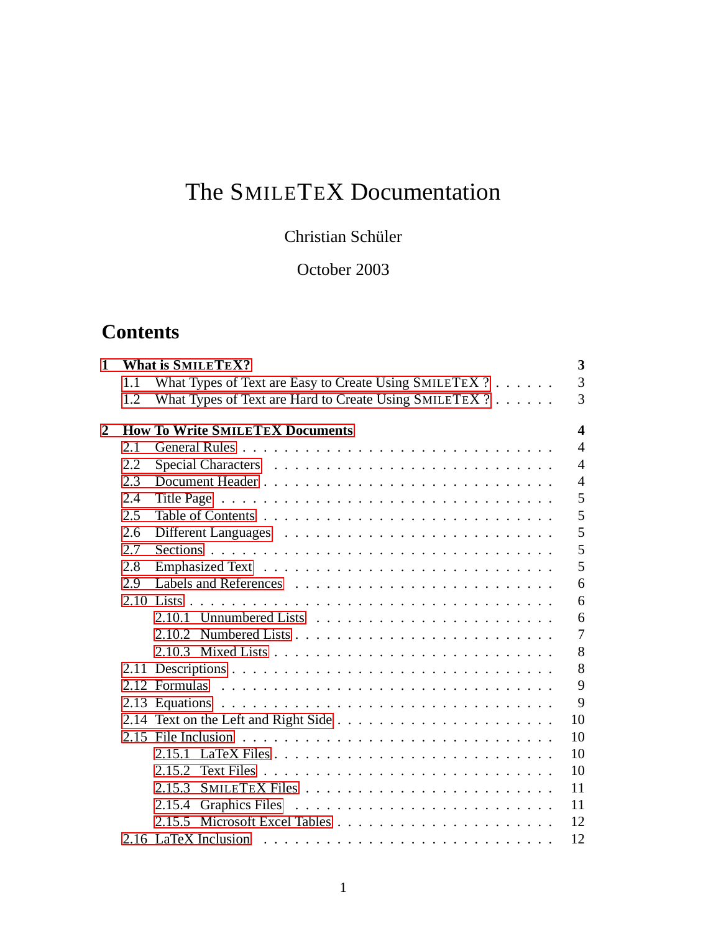# The SMILETEX Documentation

## Christian Schüler

## October 2003

## **Contents**

| 1              |      | <b>What is SMILETEX?</b>                               | 3                |
|----------------|------|--------------------------------------------------------|------------------|
|                | 1.1  | What Types of Text are Easy to Create Using SMILETEX ? | 3                |
|                | 1.2  | What Types of Text are Hard to Create Using SMILETEX ? | 3                |
| $\overline{2}$ |      | <b>How To Write SMILETEX Documents</b>                 | $\boldsymbol{4}$ |
|                | 2.1  |                                                        | $\overline{4}$   |
|                | 2.2  |                                                        | $\overline{4}$   |
|                | 2.3  |                                                        | $\overline{4}$   |
|                | 2.4  |                                                        | 5                |
|                | 2.5  |                                                        | 5                |
|                | 2.6  |                                                        | 5                |
|                | 2.7  |                                                        | 5                |
|                | 2.8  |                                                        | 5                |
|                | 2.9  |                                                        | 6                |
|                |      |                                                        | 6                |
|                |      |                                                        | 6                |
|                |      |                                                        | $\overline{7}$   |
|                |      |                                                        | 8                |
|                | 2.11 |                                                        | 8                |
|                |      |                                                        | 9                |
|                |      |                                                        | 9                |
|                |      |                                                        | 10               |
|                |      |                                                        | 10               |
|                |      |                                                        | 10               |
|                |      | 2.15.2                                                 | 10               |
|                |      |                                                        | 11               |
|                |      | 2.15.4                                                 | 11               |
|                |      |                                                        | 12               |
|                |      |                                                        | 12               |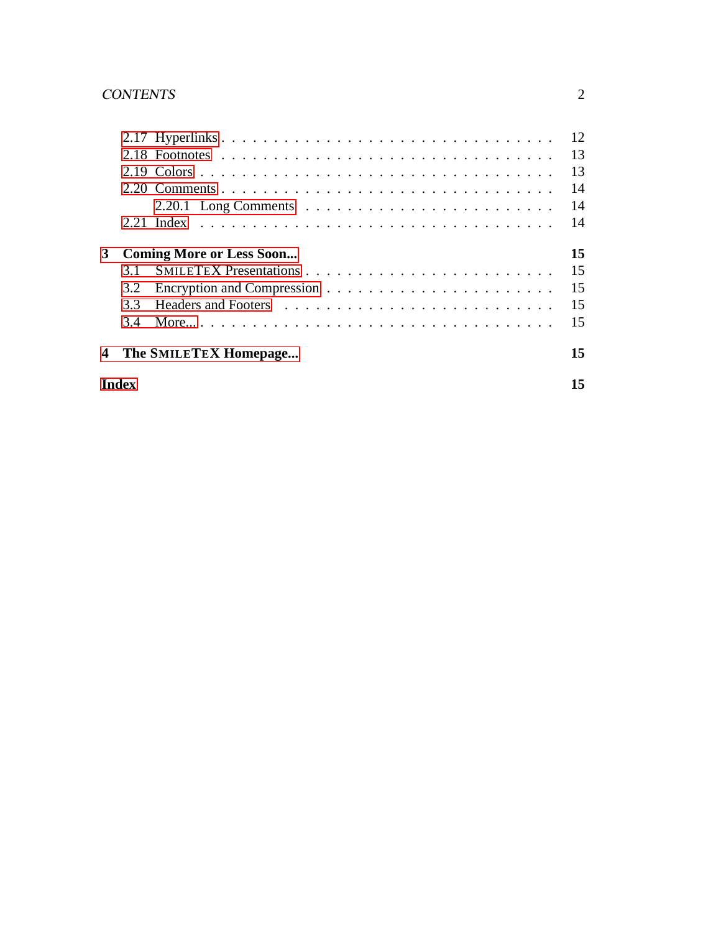|   | <b>Index</b> |                                 |    |  |
|---|--------------|---------------------------------|----|--|
| 4 |              | The SMILETEX Homepage           | 15 |  |
|   | 3.4          |                                 | 15 |  |
|   | 3.3          |                                 | 15 |  |
|   | 3.2          |                                 | 15 |  |
|   | 3.1          |                                 | 15 |  |
| 3 |              | <b>Coming More or Less Soon</b> | 15 |  |
|   |              |                                 | 14 |  |
|   |              |                                 | 14 |  |
|   |              |                                 | 14 |  |
|   |              |                                 | 13 |  |
|   |              |                                 | 13 |  |
|   |              |                                 | 12 |  |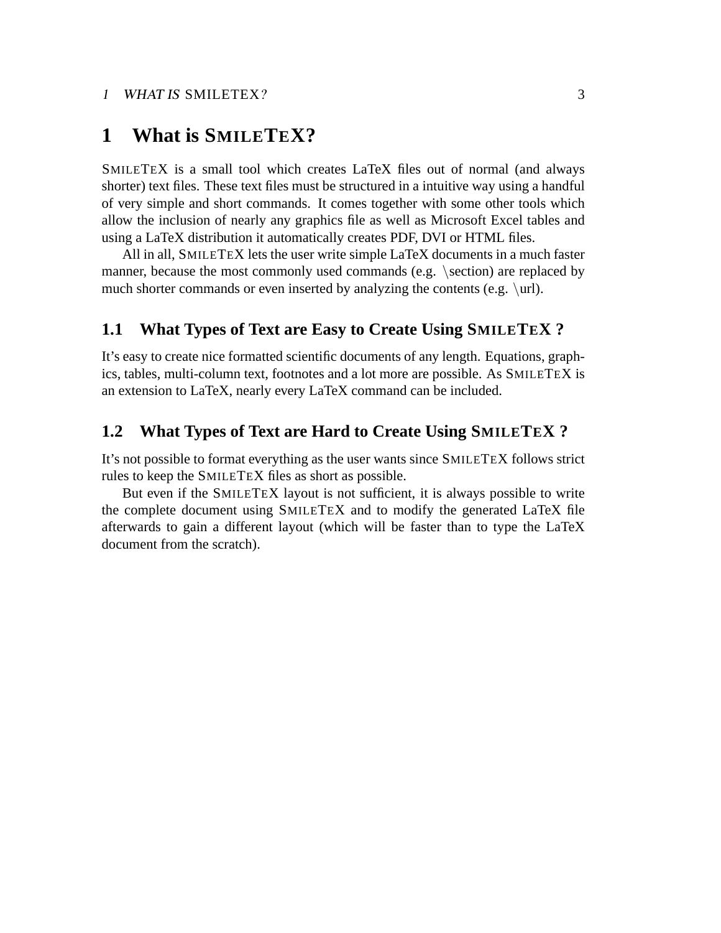## <span id="page-2-0"></span>**1 What is SMILETEX?**

SMILETEX is a small tool which creates LaTeX files out of normal (and always shorter) text files. These text files must be structured in a intuitive way using a handful of very simple and short commands. It comes together with some other tools which allow the inclusion of nearly any graphics file as well as Microsoft Excel tables and using a LaTeX distribution it automatically creates PDF, DVI or HTML files.

All in all, SMILETEX lets the user write simple LaTeX documents in a much faster manner, because the most commonly used commands (e.g. \section) are replaced by much shorter commands or even inserted by analyzing the contents (e.g. \url).

#### **1.1 What Types of Text are Easy to Create Using SMILETEX ?**

It's easy to create nice formatted scientific documents of any length. Equations, graphics, tables, multi-column text, footnotes and a lot more are possible. As SMILETEX is an extension to LaTeX, nearly every LaTeX command can be included.

#### **1.2 What Types of Text are Hard to Create Using SMILETEX ?**

It's not possible to format everything as the user wants since SMILETEX follows strict rules to keep the SMILETEX files as short as possible.

But even if the SMILETEX layout is not sufficient, it is always possible to write the complete document using SMILETEX and to modify the generated LaTeX file afterwards to gain a different layout (which will be faster than to type the LaTeX document from the scratch).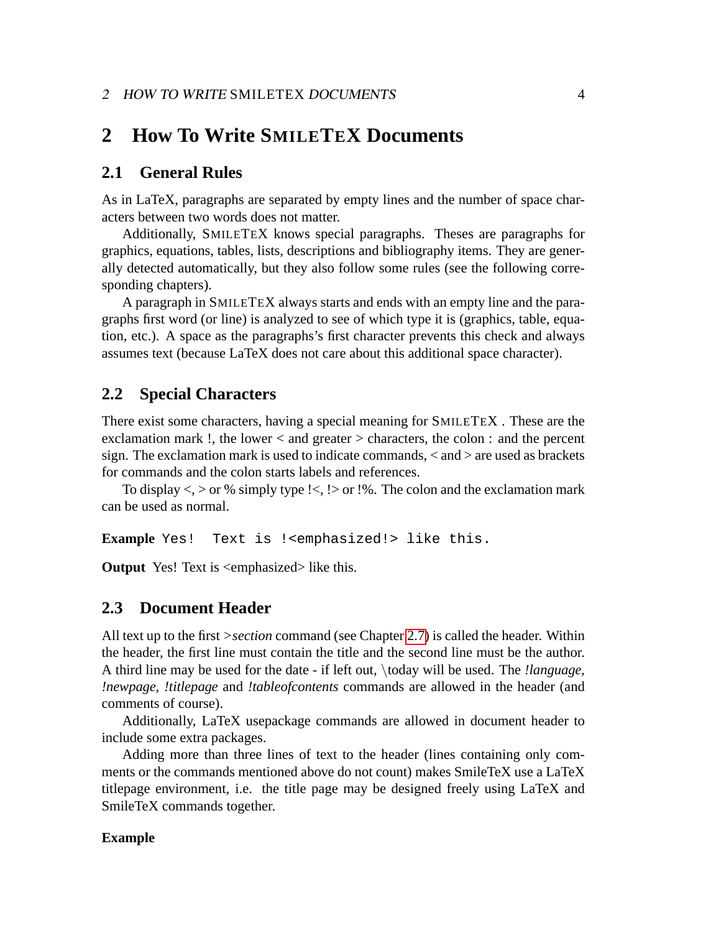## <span id="page-3-0"></span>**2 How To Write SMILETEX Documents**

#### **2.1 General Rules**

As in LaTeX, paragraphs are separated by empty lines and the number of space characters between two words does not matter.

Additionally, SMILETEX knows special paragraphs. Theses are paragraphs for graphics, equations, tables, lists, descriptions and bibliography items. They are generally detected automatically, but they also follow some rules (see the following corresponding chapters).

A paragraph in SMILETEX always starts and ends with an empty line and the paragraphs first word (or line) is analyzed to see of which type it is (graphics, table, equation, etc.). A space as the paragraphs's first character prevents this check and always assumes text (because LaTeX does not care about this additional space character).

#### **2.2 Special Characters**

There exist some characters, having a special meaning for SMILETEX . These are the exclamation mark !, the lower < and greater > characters, the colon : and the percent sign. The exclamation mark is used to indicate commands, < and > are used as brackets for commands and the colon starts labels and references.

To display  $\lt$ ,  $>$  or % simply type ! $\lt$ , ! $>$  or !%. The colon and the exclamation mark can be used as normal.

**Example** Yes! Text is !<emphasized!> like this.

**Output** Yes! Text is <emphasized> like this.

#### **2.3 Document Header**

All text up to the first *>section* command (see Chapter [2.7\)](#page-4-0) is called the header. Within the header, the first line must contain the title and the second line must be the author. A third line may be used for the date - if left out, \today will be used. The *!language, !newpage, !titlepage* and *!tableofcontents* commands are allowed in the header (and comments of course).

Additionally, LaTeX usepackage commands are allowed in document header to include some extra packages.

Adding more than three lines of text to the header (lines containing only comments or the commands mentioned above do not count) makes SmileTeX use a LaTeX titlepage environment, i.e. the title page may be designed freely using LaTeX and SmileTeX commands together.

#### **Example**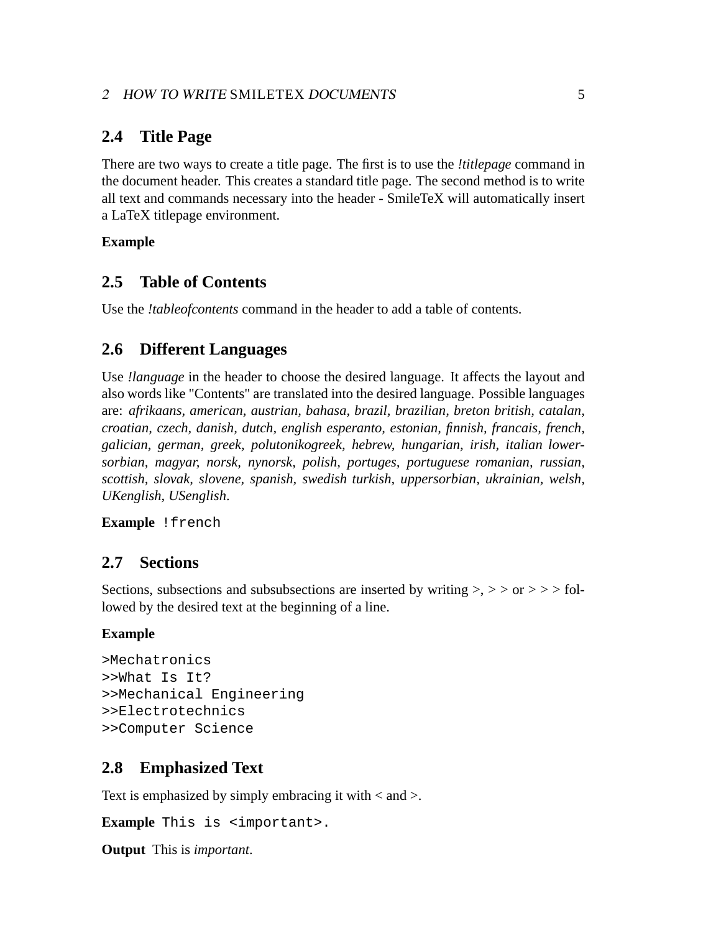## <span id="page-4-0"></span>**2.4 Title Page**

There are two ways to create a title page. The first is to use the *!titlepage* command in the document header. This creates a standard title page. The second method is to write all text and commands necessary into the header - SmileTeX will automatically insert a LaTeX titlepage environment.

## **Example**

## **2.5 Table of Contents**

Use the *!tableofcontents* command in the header to add a table of contents.

## **2.6 Different Languages**

Use *!language* in the header to choose the desired language. It affects the layout and also words like "Contents" are translated into the desired language. Possible languages are: *afrikaans, american, austrian, bahasa, brazil, brazilian, breton british, catalan, croatian, czech, danish, dutch, english esperanto, estonian, finnish, francais, french, galician, german, greek, polutonikogreek, hebrew, hungarian, irish, italian lowersorbian, magyar, norsk, nynorsk, polish, portuges, portuguese romanian, russian, scottish, slovak, slovene, spanish, swedish turkish, uppersorbian, ukrainian, welsh, UKenglish, USenglish*.

**Example** !french

## **2.7 Sections**

Sections, subsections and subsubsections are inserted by writing  $\geq$ ,  $\geq$  or  $\geq$   $>$  followed by the desired text at the beginning of a line.

#### **Example**

```
>Mechatronics
>>What Is It?
>>Mechanical Engineering
>>Electrotechnics
>>Computer Science
```
## **2.8 Emphasized Text**

Text is emphasized by simply embracing it with < and >.

**Example** This is <important>.

**Output** This is *important*.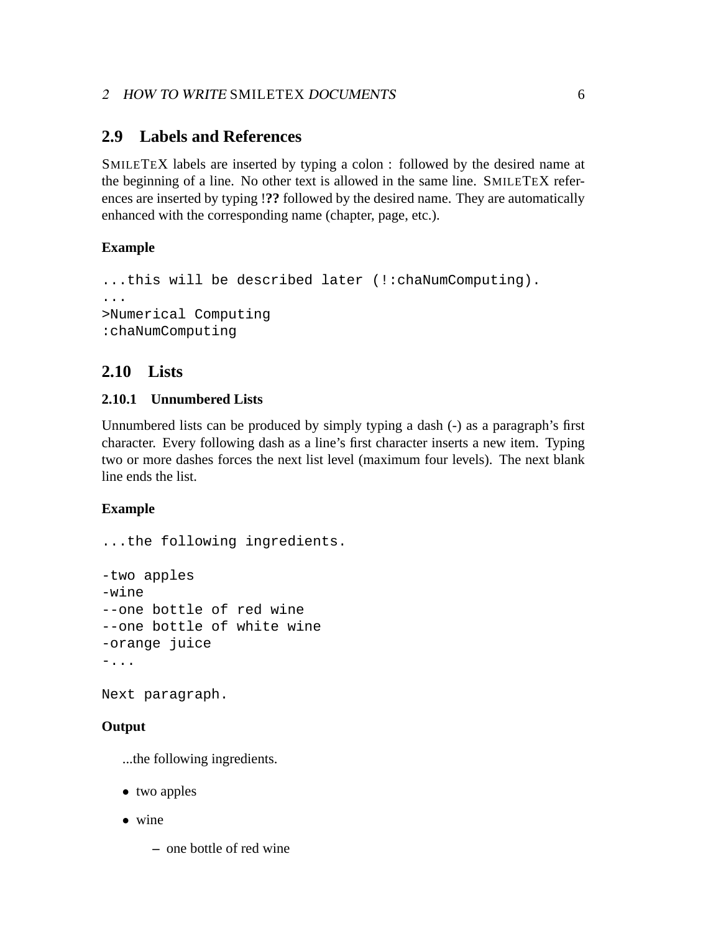## <span id="page-5-0"></span>**2.9 Labels and References**

SMILETEX labels are inserted by typing a colon : followed by the desired name at the beginning of a line. No other text is allowed in the same line. SMILETEX references are inserted by typing !**??** followed by the desired name. They are automatically enhanced with the corresponding name (chapter, page, etc.).

## **Example**

```
...this will be described later (!:chaNumComputing).
...
>Numerical Computing
:chaNumComputing
```
## **2.10 Lists**

## **2.10.1 Unnumbered Lists**

Unnumbered lists can be produced by simply typing a dash (-) as a paragraph's first character. Every following dash as a line's first character inserts a new item. Typing two or more dashes forces the next list level (maximum four levels). The next blank line ends the list.

## **Example**

```
...the following ingredients.
-two apples
-wine
--one bottle of red wine
--one bottle of white wine
-orange juice
-...
```
Next paragraph.

## **Output**

...the following ingredients.

- two apples
- wine
	- **–** one bottle of red wine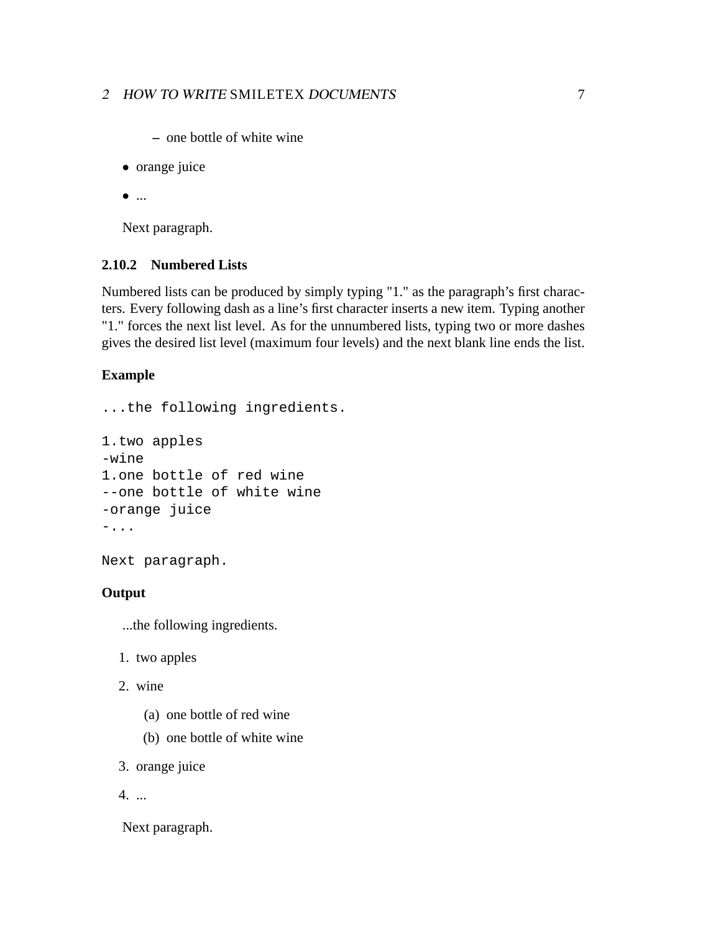- <span id="page-6-0"></span>**–** one bottle of white wine
- orange juice
- $\bullet$  ...

Next paragraph.

#### **2.10.2 Numbered Lists**

Numbered lists can be produced by simply typing "1." as the paragraph's first characters. Every following dash as a line's first character inserts a new item. Typing another "1." forces the next list level. As for the unnumbered lists, typing two or more dashes gives the desired list level (maximum four levels) and the next blank line ends the list.

#### **Example**

```
...the following ingredients.
```

```
1.two apples
-wine
1.one bottle of red wine
--one bottle of white wine
-orange juice
-...
```
Next paragraph.

#### **Output**

...the following ingredients.

- 1. two apples
- 2. wine
	- (a) one bottle of red wine
	- (b) one bottle of white wine
- 3. orange juice

4. ...

Next paragraph.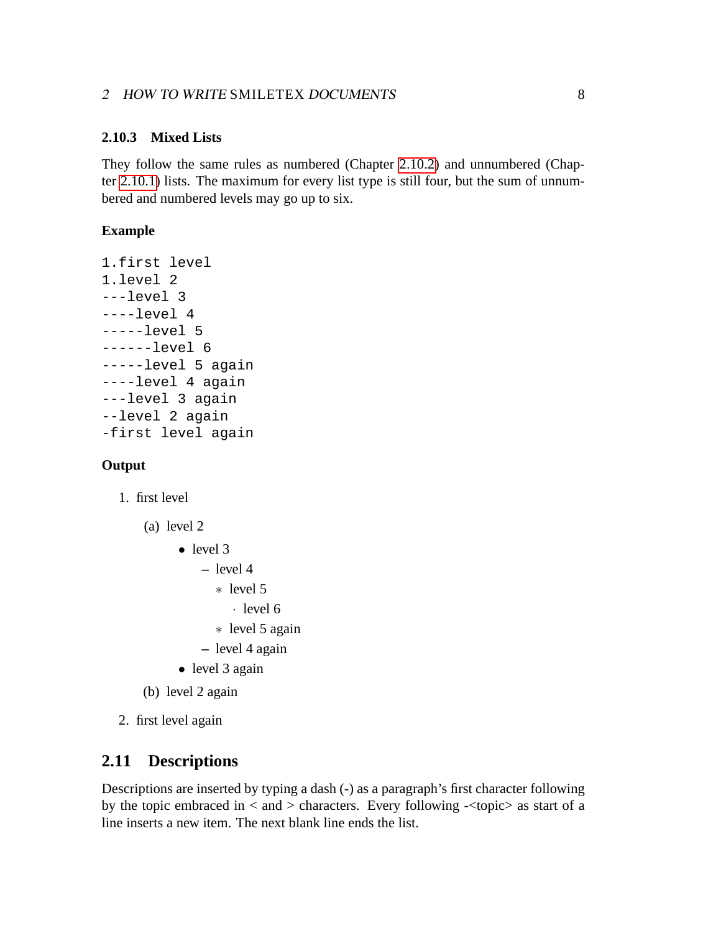#### <span id="page-7-0"></span>**2.10.3 Mixed Lists**

They follow the same rules as numbered (Chapter [2.10.2\)](#page-6-0) and unnumbered (Chapter [2.10.1\)](#page-5-0) lists. The maximum for every list type is still four, but the sum of unnumbered and numbered levels may go up to six.

#### **Example**

```
1.first level
1.level 2
---level 3
---level 4-----level 5
------level 6
-----level 5 again
----level 4 again
---level 3 again
--level 2 again
-first level again
```
#### **Output**

- 1. first level
	- (a) level 2
		- level 3
			- **–** level 4
				- ∗ level 5
				- · level 6
				- ∗ level 5 again
			- **–** level 4 again
		- level 3 again
	- (b) level 2 again
- 2. first level again

## **2.11 Descriptions**

Descriptions are inserted by typing a dash (-) as a paragraph's first character following by the topic embraced in  $\langle$  and  $\rangle$  characters. Every following  $\langle$  topic $\rangle$  as start of a line inserts a new item. The next blank line ends the list.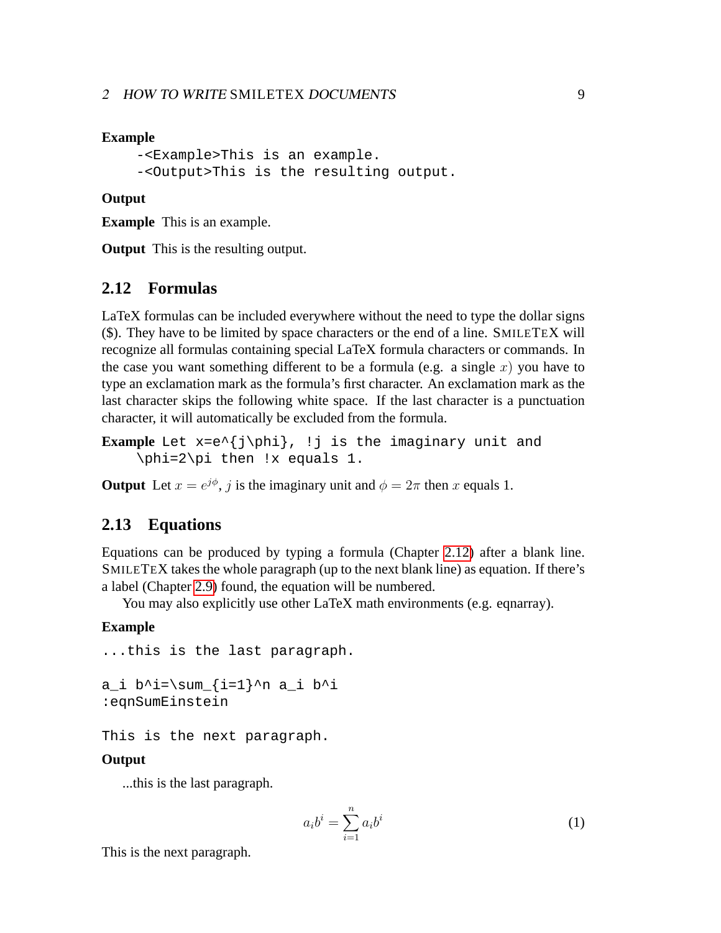#### <span id="page-8-0"></span>**Example**

```
-<Example>This is an example.
-<Output>This is the resulting output.
```
#### **Output**

**Example** This is an example.

**Output** This is the resulting output.

#### **2.12 Formulas**

LaTeX formulas can be included everywhere without the need to type the dollar signs (\$). They have to be limited by space characters or the end of a line. SMILETEX will recognize all formulas containing special LaTeX formula characters or commands. In the case you want something different to be a formula (e.g. a single x) you have to type an exclamation mark as the formula's first character. An exclamation mark as the last character skips the following white space. If the last character is a punctuation character, it will automatically be excluded from the formula.

```
Example Let x=e^{j\phi}, !j is the imaginary unit and
    \phi=2\pi then !x equals 1.
```
**Output** Let  $x = e^{j\phi}$ , j is the imaginary unit and  $\phi = 2\pi$  then x equals 1.

## **2.13 Equations**

Equations can be produced by typing a formula (Chapter 2.12) after a blank line. SMILETEX takes the whole paragraph (up to the next blank line) as equation. If there's a label (Chapter [2.9\)](#page-5-0) found, the equation will be numbered.

You may also explicitly use other LaTeX math environments (e.g. eqnarray).

#### **Example**

```
...this is the last paragraph.
a_i b^i=\sum_{i=1}^n a_i b^i
```
:eqnSumEinstein

This is the next paragraph.

#### **Output**

...this is the last paragraph.

$$
a_i b^i = \sum_{i=1}^n a_i b^i \tag{1}
$$

This is the next paragraph.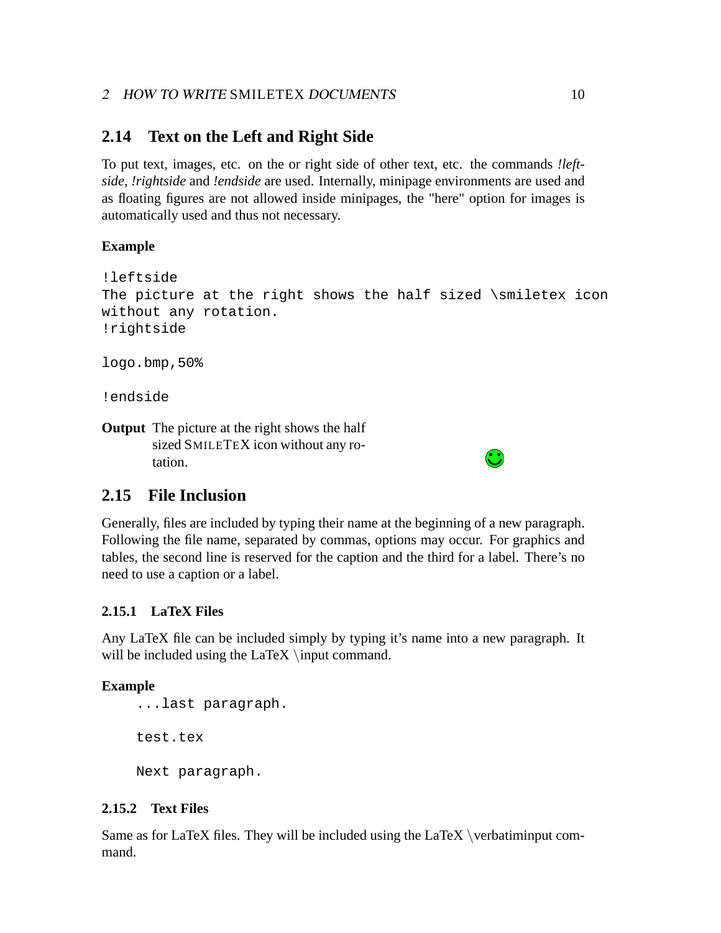## <span id="page-9-0"></span>**2.14 Text on the Left and Right Side**

To put text, images, etc. on the or right side of other text, etc. the commands *!leftside*, *!rightside* and *!endside* are used. Internally, minipage environments are used and as floating figures are not allowed inside minipages, the "here" option for images is automatically used and thus not necessary.

## **Example**

```
!leftside
The picture at the right shows the half sized \sim icon
without any rotation.
!rightside
```
logo.bmp,50%

!endside

**Output** The picture at the right shows the half sized SMILETEX icon without any rotation.



## **2.15 File Inclusion**

Generally, files are included by typing their name at the beginning of a new paragraph. Following the file name, separated by commas, options may occur. For graphics and tables, the second line is reserved for the caption and the third for a label. There's no need to use a caption or a label.

#### **2.15.1 LaTeX Files**

Any LaTeX file can be included simply by typing it's name into a new paragraph. It will be included using the LaTeX  $\infty$  command.

#### **Example**

```
...last paragraph.
test.tex
Next paragraph.
```
#### **2.15.2 Text Files**

Same as for LaTeX files. They will be included using the  $LaTeX \verb|\verbatiminput|$  command.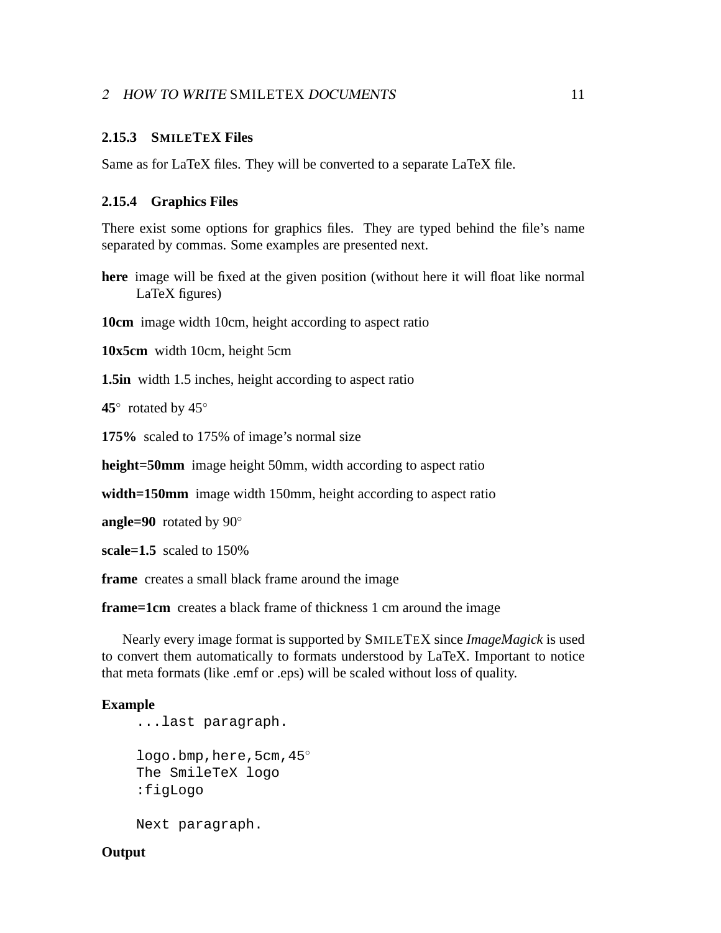#### <span id="page-10-0"></span>**2.15.3 SMILETEX Files**

Same as for LaTeX files. They will be converted to a separate LaTeX file.

#### **2.15.4 Graphics Files**

There exist some options for graphics files. They are typed behind the file's name separated by commas. Some examples are presented next.

**here** image will be fixed at the given position (without here it will float like normal LaTeX figures)

**10cm** image width 10cm, height according to aspect ratio

**10x5cm** width 10cm, height 5cm

**1.5in** width 1.5 inches, height according to aspect ratio

**45**◦ rotated by 45◦

**175%** scaled to 175% of image's normal size

**height=50mm** image height 50mm, width according to aspect ratio

**width=150mm** image width 150mm, height according to aspect ratio

**angle=90** rotated by 90◦

**scale=1.5** scaled to 150%

**frame** creates a small black frame around the image

**frame=1cm** creates a black frame of thickness 1 cm around the image

Nearly every image format is supported by SMILETEX since *ImageMagick* is used to convert them automatically to formats understood by LaTeX. Important to notice that meta formats (like .emf or .eps) will be scaled without loss of quality.

#### **Example**

```
...last paragraph.
logo.bmp, here, 5cm, 45°
The SmileTeX logo
:figLogo
Next paragraph.
```
**Output**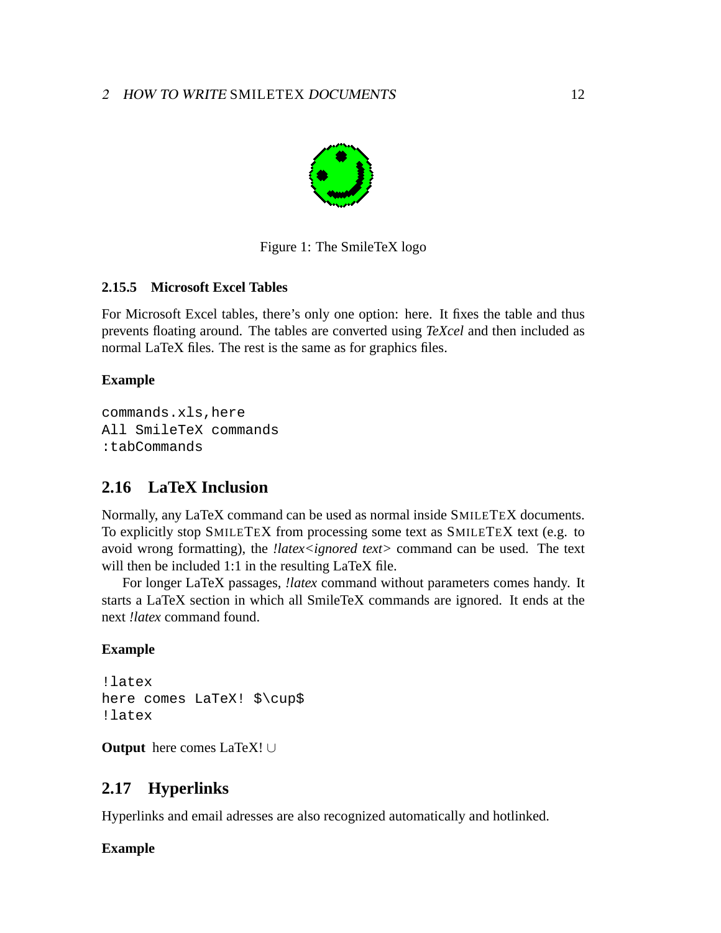<span id="page-11-0"></span>

Figure 1: The SmileTeX logo

## **2.15.5 Microsoft Excel Tables**

For Microsoft Excel tables, there's only one option: here. It fixes the table and thus prevents floating around. The tables are converted using *TeXcel* and then included as normal LaTeX files. The rest is the same as for graphics files.

#### **Example**

commands.xls,here All SmileTeX commands :tabCommands

## **2.16 LaTeX Inclusion**

Normally, any LaTeX command can be used as normal inside SMILETEX documents. To explicitly stop SMILETEX from processing some text as SMILETEX text (e.g. to avoid wrong formatting), the *!latex<ignored text>* command can be used. The text will then be included 1:1 in the resulting LaTeX file.

For longer LaTeX passages, *!latex* command without parameters comes handy. It starts a LaTeX section in which all SmileTeX commands are ignored. It ends at the next *!latex* command found.

#### **Example**

```
!latex
here comes LaTeX! $\cup$
!latex
```
**Output** here comes LaTeX! ∪

## **2.17 Hyperlinks**

Hyperlinks and email adresses are also recognized automatically and hotlinked.

## **Example**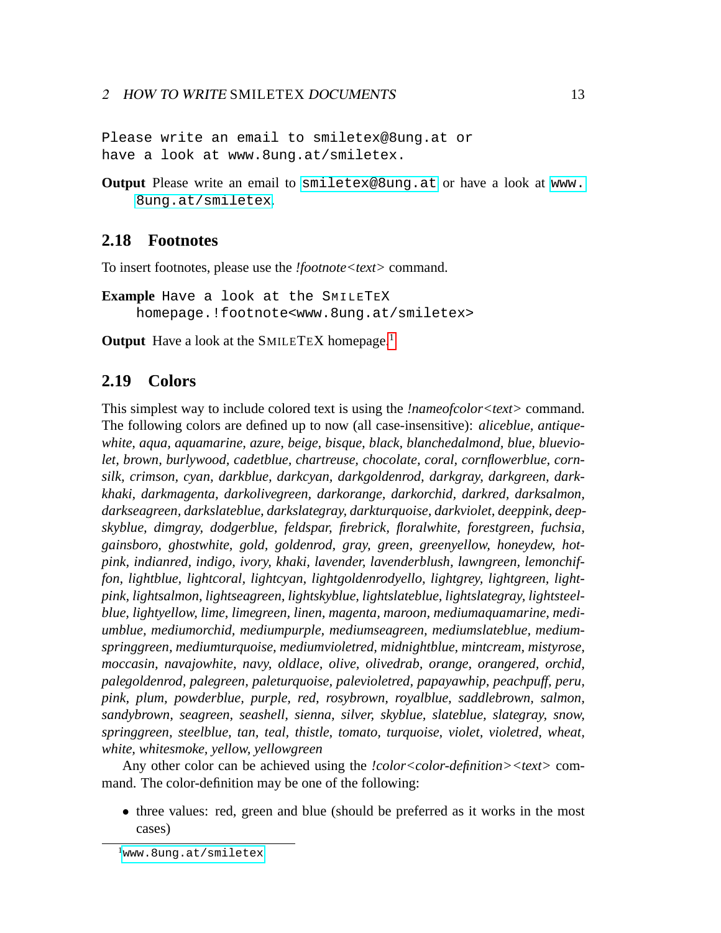<span id="page-12-0"></span>Please write an email to smiletex@8ung.at or have a look at www.8ung.at/smiletex.

**Output** Please write an email to [smiletex@8ung.at](mailto:smiletex@8ung.at) or have a look at [www.](www.8ung.at/smiletex) [8ung.at/smiletex](www.8ung.at/smiletex).

#### **2.18 Footnotes**

To insert footnotes, please use the *!footnote<text>* command.

**Example** Have a look at the SMILETEX homepage.!footnote<www.8ung.at/smiletex>

**Output** Have a look at the SMILETEX homepage.<sup>1</sup>

#### **2.19 Colors**

This simplest way to include colored text is using the *!nameofcolor<text>* command. The following colors are defined up to now (all case-insensitive): *aliceblue, antiquewhite, aqua, aquamarine, azure, beige, bisque, black, blanchedalmond, blue, blueviolet, brown, burlywood, cadetblue, chartreuse, chocolate, coral, cornflowerblue, cornsilk, crimson, cyan, darkblue, darkcyan, darkgoldenrod, darkgray, darkgreen, darkkhaki, darkmagenta, darkolivegreen, darkorange, darkorchid, darkred, darksalmon, darkseagreen, darkslateblue, darkslategray, darkturquoise, darkviolet, deeppink, deepskyblue, dimgray, dodgerblue, feldspar, firebrick, floralwhite, forestgreen, fuchsia, gainsboro, ghostwhite, gold, goldenrod, gray, green, greenyellow, honeydew, hotpink, indianred, indigo, ivory, khaki, lavender, lavenderblush, lawngreen, lemonchiffon, lightblue, lightcoral, lightcyan, lightgoldenrodyello, lightgrey, lightgreen, lightpink, lightsalmon, lightseagreen, lightskyblue, lightslateblue, lightslategray, lightsteelblue, lightyellow, lime, limegreen, linen, magenta, maroon, mediumaquamarine, mediumblue, mediumorchid, mediumpurple, mediumseagreen, mediumslateblue, mediumspringgreen, mediumturquoise, mediumvioletred, midnightblue, mintcream, mistyrose, moccasin, navajowhite, navy, oldlace, olive, olivedrab, orange, orangered, orchid, palegoldenrod, palegreen, paleturquoise, palevioletred, papayawhip, peachpuff, peru, pink, plum, powderblue, purple, red, rosybrown, royalblue, saddlebrown, salmon, sandybrown, seagreen, seashell, sienna, silver, skyblue, slateblue, slategray, snow, springgreen, steelblue, tan, teal, thistle, tomato, turquoise, violet, violetred, wheat, white, whitesmoke, yellow, yellowgreen*

Any other color can be achieved using the *!color<color-definition><text>* command. The color-definition may be one of the following:

• three values: red, green and blue (should be preferred as it works in the most cases)

<sup>&</sup>lt;sup>1</sup><www.8ung.at/smiletex>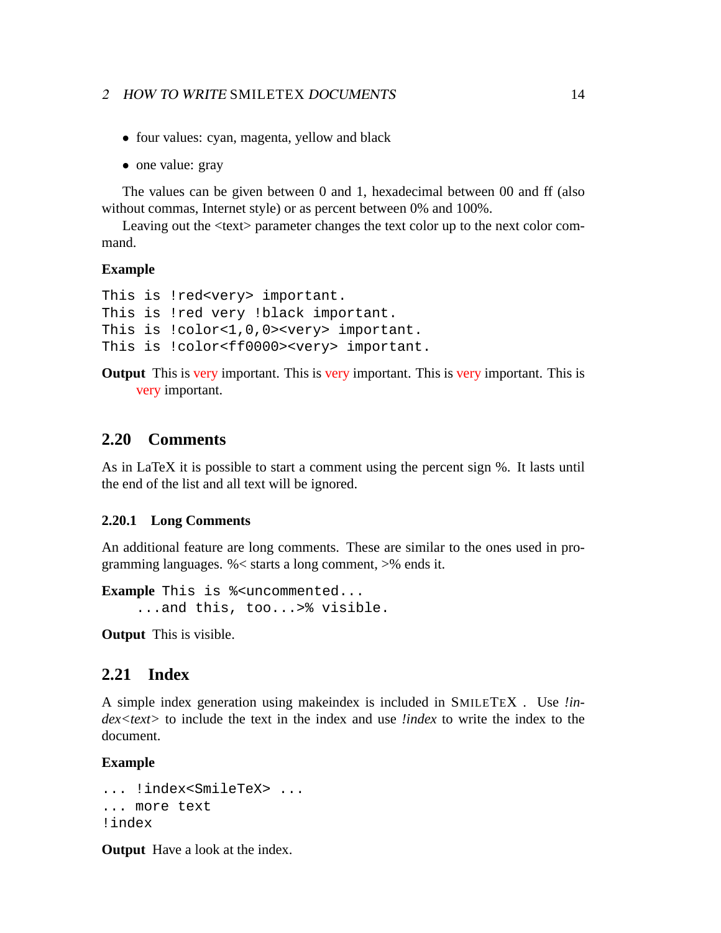- <span id="page-13-0"></span>• four values: cyan, magenta, yellow and black
- one value: gray

The values can be given between 0 and 1, hexadecimal between 00 and ff (also without commas, Internet style) or as percent between 0% and 100%.

Leaving out the <text> parameter changes the text color up to the next color command.

#### **Example**

```
This is !red<very> important.
This is !red very !black important.
This is !color<1,0,0><very> important.
This is !color<ff0000><very> important.
```
**Output** This is very important. This is very important. This is very important. This is very important.

#### **2.20 Comments**

As in LaTeX it is possible to start a comment using the percent sign %. It lasts until the end of the list and all text will be ignored.

#### **2.20.1 Long Comments**

An additional feature are long comments. These are similar to the ones used in programming languages. %< starts a long comment, >% ends it.

**Example** This is  $%$  < uncommented... ...and this, too...>% visible.

**Output** This is visible.

#### **2.21 Index**

A simple index generation using makeindex is included in SMILETEX . Use *!index<text>* to include the text in the index and use *!index* to write the index to the document.

#### **Example**

```
... !index<SmileTeX> ...
... more text
!index
```
**Output** Have a look at the index.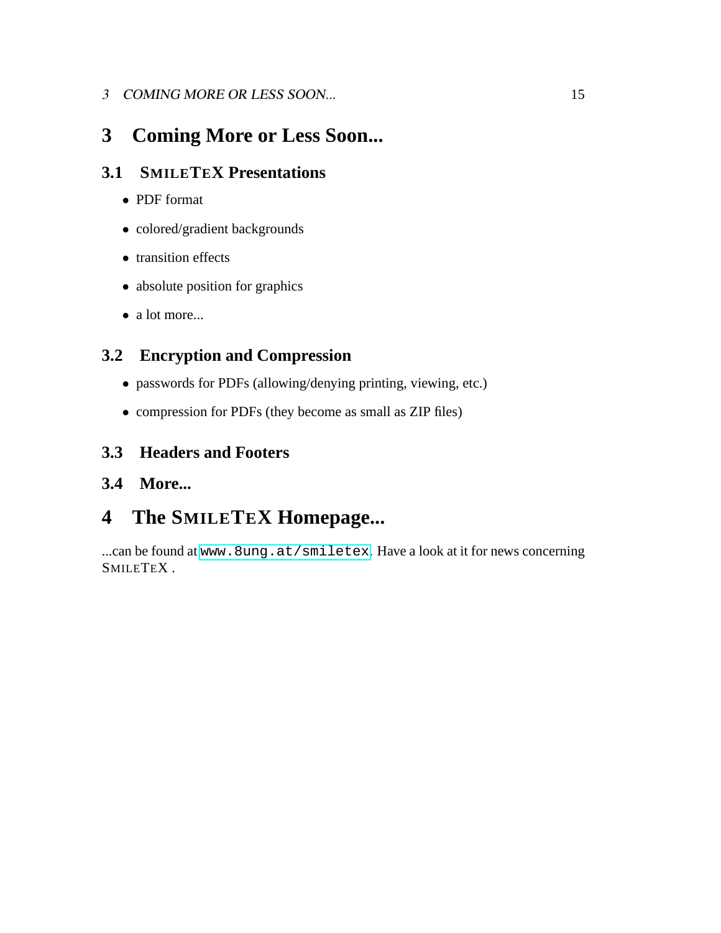## <span id="page-14-0"></span>3 COMING MORE OR LESS SOON... 15

## **3 Coming More or Less Soon...**

## **3.1 SMILETEX Presentations**

- PDF format
- colored/gradient backgrounds
- transition effects
- absolute position for graphics
- a lot more...

## **3.2 Encryption and Compression**

- passwords for PDFs (allowing/denying printing, viewing, etc.)
- compression for PDFs (they become as small as ZIP files)

## **3.3 Headers and Footers**

## **3.4 More...**

# **4 The SMILETEX Homepage...**

...can be found at <www.8ung.at/smiletex>. Have a look at it for news concerning SMILETEX .